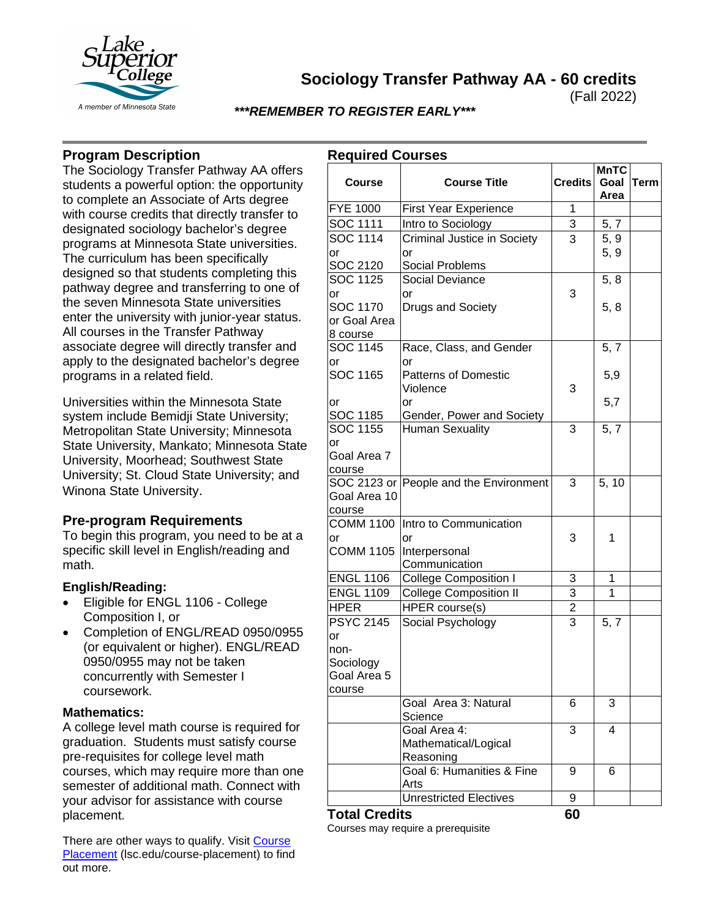

**Sociology Transfer Pathway AA - 60 credits**

(Fall 2022)

## *\*\*\*REMEMBER TO REGISTER EARLY\*\*\**

# **Program Description**

The Sociology Transfer Pathway AA offers students a powerful option: the opportunity to complete an Associate of Arts degree with course credits that directly transfer to designated sociology bachelor's degree programs at Minnesota State universities. The curriculum has been specifically designed so that students completing this pathway degree and transferring to one of the seven Minnesota State universities enter the university with junior-year status. All courses in the Transfer Pathway associate degree will directly transfer and apply to the designated bachelor's degree programs in a related field.

Universities within the Minnesota State system include Bemidji State University; Metropolitan State University; Minnesota State University, Mankato; Minnesota State University, Moorhead; Southwest State University; St. Cloud State University; and Winona State University.

# **Pre-program Requirements**

To begin this program, you need to be at a specific skill level in English/reading and math.

### **English/Reading:**

- Eligible for ENGL 1106 College Composition I, or
- Completion of ENGL/READ 0950/0955 (or equivalent or higher). ENGL/READ 0950/0955 may not be taken concurrently with Semester I coursework.

#### **Mathematics:**

A college level math course is required for graduation. Students must satisfy course pre-requisites for college level math courses, which may require more than one semester of additional math. Connect with your advisor for assistance with course placement.

There are other ways to qualify. Visit Course [Placement](https://www.lsc.edu/course-placement/) (Isc.edu/course-placement) to find out more.

| <b>Required Courses</b> |  |
|-------------------------|--|
|-------------------------|--|

| <b>Course</b>        | <b>Course Title</b>                    | <b>Credits</b> | <b>MnTC</b><br>Goal | Term |
|----------------------|----------------------------------------|----------------|---------------------|------|
|                      |                                        |                | Area                |      |
| <b>FYE 1000</b>      | <b>First Year Experience</b>           | 1              |                     |      |
| SOC 1111             | Intro to Sociology                     | 3              | 5, 7                |      |
| SOC 1114             | Criminal Justice in Society            | 3              | 5, 9                |      |
| or                   | or                                     |                | 5, 9                |      |
| SOC 2120             | Social Problems                        |                |                     |      |
| SOC 1125             | Social Deviance                        |                | 5, 8                |      |
| or                   | or                                     | 3              |                     |      |
| SOC 1170             | Drugs and Society                      |                | 5, 8                |      |
| or Goal Area         |                                        |                |                     |      |
| 8 course             |                                        |                |                     |      |
| SOC 1145             | Race, Class, and Gender                |                | 5, 7                |      |
| or                   | or                                     |                |                     |      |
| SOC 1165             | <b>Patterns of Domestic</b>            |                | 5,9                 |      |
|                      | Violence                               | 3              |                     |      |
| or                   | or                                     |                | 5,7                 |      |
| SOC 1185             | Gender, Power and Society              |                |                     |      |
| <b>SOC 1155</b>      | <b>Human Sexuality</b>                 | 3              | 5, 7                |      |
| or                   |                                        |                |                     |      |
| Goal Area 7          |                                        |                |                     |      |
| course               |                                        |                |                     |      |
|                      | SOC 2123 or People and the Environment | 3              | 5, 10               |      |
| Goal Area 10         |                                        |                |                     |      |
| course               |                                        |                |                     |      |
| <b>COMM 1100</b>     | Intro to Communication                 |                |                     |      |
| or                   | or                                     | 3              | 1                   |      |
| <b>COMM 1105</b>     | Interpersonal                          |                |                     |      |
|                      | Communication                          |                |                     |      |
| <b>ENGL 1106</b>     | <b>College Composition I</b>           | 3              | 1                   |      |
| <b>ENGL 1109</b>     | <b>College Composition II</b>          | 3              | 1                   |      |
| <b>HPER</b>          | HPER course(s)                         | 2              |                     |      |
| <b>PSYC 2145</b>     | Social Psychology                      | 3              | 5, 7                |      |
| or                   |                                        |                |                     |      |
| non-                 |                                        |                |                     |      |
| Sociology            |                                        |                |                     |      |
| Goal Area 5          |                                        |                |                     |      |
| course               |                                        |                |                     |      |
|                      | Goal Area 3: Natural                   | 6              | 3                   |      |
|                      | Science                                |                |                     |      |
|                      | Goal Area 4:                           | 3              | 4                   |      |
|                      | Mathematical/Logical                   |                |                     |      |
|                      | Reasoning                              |                |                     |      |
|                      | Goal 6: Humanities & Fine              | 9              | 6                   |      |
|                      | Arts<br><b>Unrestricted Electives</b>  |                |                     |      |
|                      |                                        | 9              |                     |      |
| <b>Total Credits</b> |                                        | 60             |                     |      |

Courses may require a prerequisite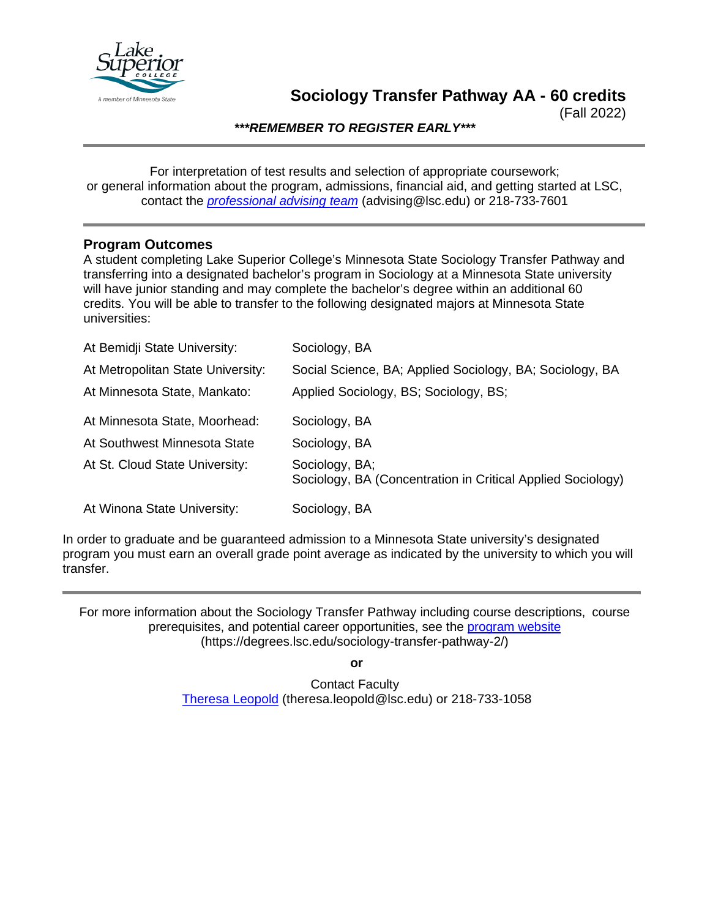

(Fall 2022)

*\*\*\*REMEMBER TO REGISTER EARLY\*\*\**

For interpretation of test results and selection of appropriate coursework; or general information about the program, admissions, financial aid, and getting started at LSC, contact the *[professional advising team](mailto:advising@lsc.edu)* (advising@lsc.edu) or 218-733-7601

## **Program Outcomes**

A student completing Lake Superior College's Minnesota State Sociology Transfer Pathway and transferring into a designated bachelor's program in Sociology at a Minnesota State university will have junior standing and may complete the bachelor's degree within an additional 60 credits. You will be able to transfer to the following designated majors at Minnesota State universities:

| At Bemidji State University:      | Sociology, BA                                                                 |
|-----------------------------------|-------------------------------------------------------------------------------|
| At Metropolitan State University: | Social Science, BA; Applied Sociology, BA; Sociology, BA                      |
| At Minnesota State, Mankato:      | Applied Sociology, BS; Sociology, BS;                                         |
| At Minnesota State, Moorhead:     | Sociology, BA                                                                 |
| At Southwest Minnesota State      | Sociology, BA                                                                 |
| At St. Cloud State University:    | Sociology, BA;<br>Sociology, BA (Concentration in Critical Applied Sociology) |
| At Winona State University:       | Sociology, BA                                                                 |

In order to graduate and be guaranteed admission to a Minnesota State university's designated program you must earn an overall grade point average as indicated by the university to which you will transfer.

For more information about the Sociology Transfer Pathway including course descriptions, course prerequisites, and potential career opportunities, see the [program website](https://degrees.lsc.edu/sociology-transfer-pathway-2/) (https://degrees.lsc.edu/sociology-transfer-pathway-2/)

**or**

Contact Faculty [Theresa Leopold](mailto:theresa.leopold@lsc.edu) (theresa.leopold@lsc.edu) or 218-733-1058